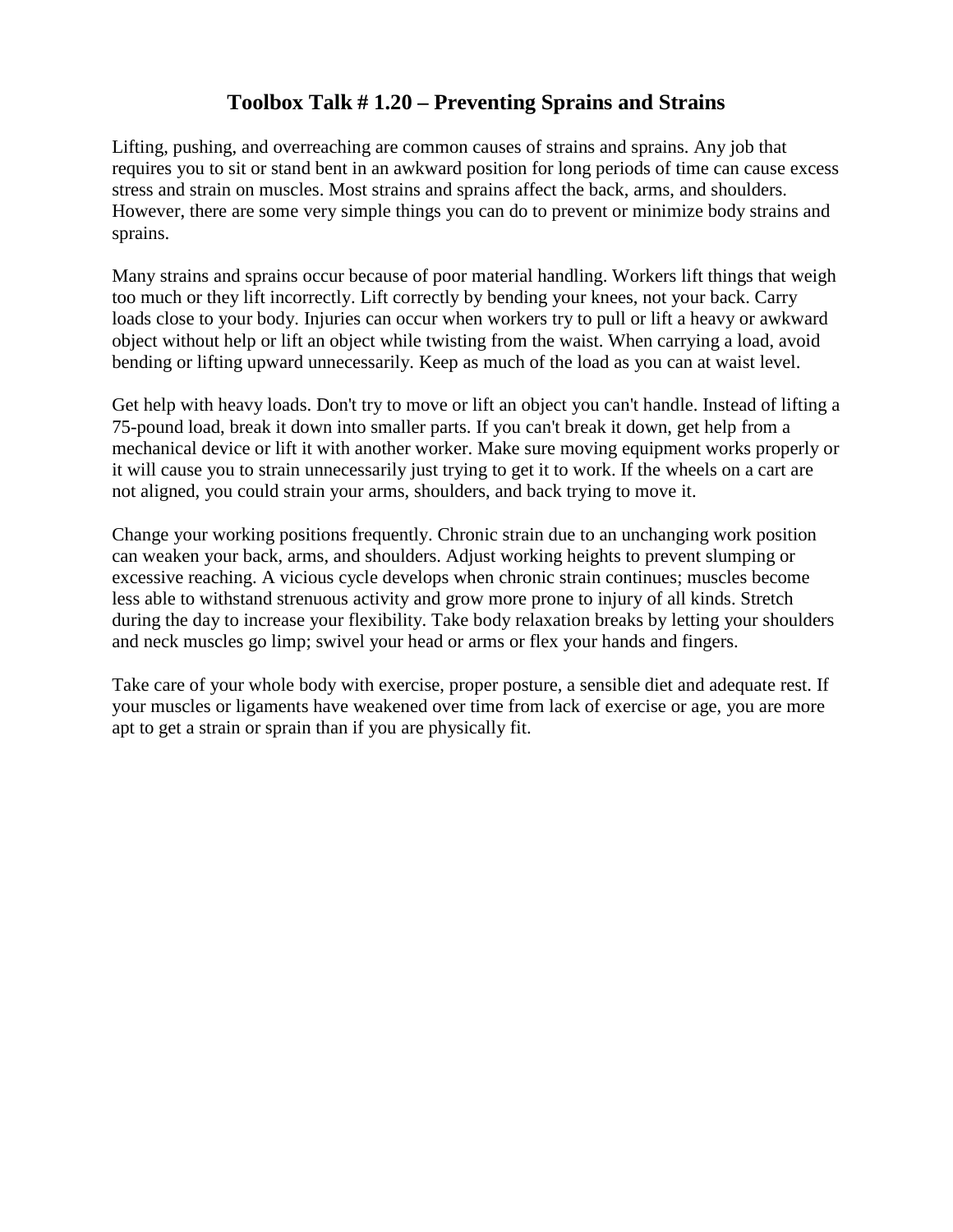## **Toolbox Talk # 1.20 – Preventing Sprains and Strains**

Lifting, pushing, and overreaching are common causes of strains and sprains. Any job that requires you to sit or stand bent in an awkward position for long periods of time can cause excess stress and strain on muscles. Most strains and sprains affect the back, arms, and shoulders. However, there are some very simple things you can do to prevent or minimize body strains and sprains.

Many strains and sprains occur because of poor material handling. Workers lift things that weigh too much or they lift incorrectly. Lift correctly by bending your knees, not your back. Carry loads close to your body. Injuries can occur when workers try to pull or lift a heavy or awkward object without help or lift an object while twisting from the waist. When carrying a load, avoid bending or lifting upward unnecessarily. Keep as much of the load as you can at waist level.

Get help with heavy loads. Don't try to move or lift an object you can't handle. Instead of lifting a 75-pound load, break it down into smaller parts. If you can't break it down, get help from a mechanical device or lift it with another worker. Make sure moving equipment works properly or it will cause you to strain unnecessarily just trying to get it to work. If the wheels on a cart are not aligned, you could strain your arms, shoulders, and back trying to move it.

Change your working positions frequently. Chronic strain due to an unchanging work position can weaken your back, arms, and shoulders. Adjust working heights to prevent slumping or excessive reaching. A vicious cycle develops when chronic strain continues; muscles become less able to withstand strenuous activity and grow more prone to injury of all kinds. Stretch during the day to increase your flexibility. Take body relaxation breaks by letting your shoulders and neck muscles go limp; swivel your head or arms or flex your hands and fingers.

Take care of your whole body with exercise, proper posture, a sensible diet and adequate rest. If your muscles or ligaments have weakened over time from lack of exercise or age, you are more apt to get a strain or sprain than if you are physically fit.